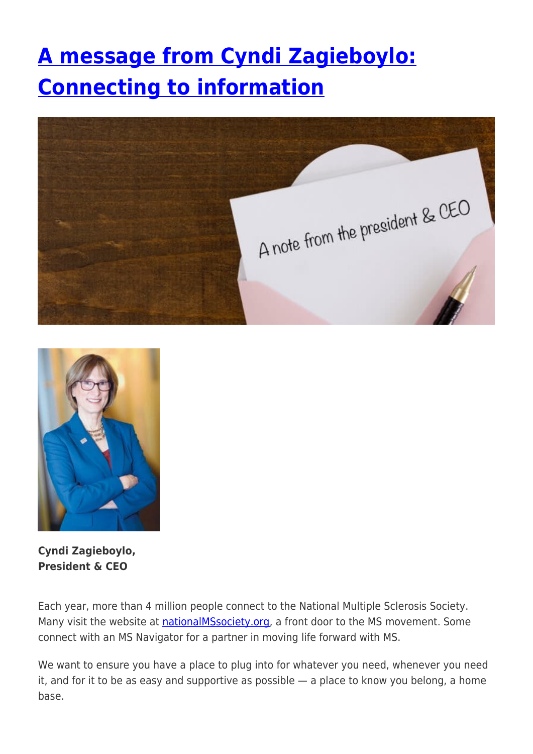## **[A message from Cyndi Zagieboylo:](https://momentummagazineonline.com/connecting-to-information/) [Connecting to information](https://momentummagazineonline.com/connecting-to-information/)**





**Cyndi Zagieboylo, President & CEO**

Each year, more than 4 million people connect to the National Multiple Sclerosis Society. Many visit the website at [nationalMSsociety.org](https://www.nationalmssociety.org/), a front door to the MS movement. Some connect with an MS Navigator for a partner in moving life forward with MS.

We want to ensure you have a place to plug into for whatever you need, whenever you need it, and for it to be as easy and supportive as possible — a place to know you belong, a home base.